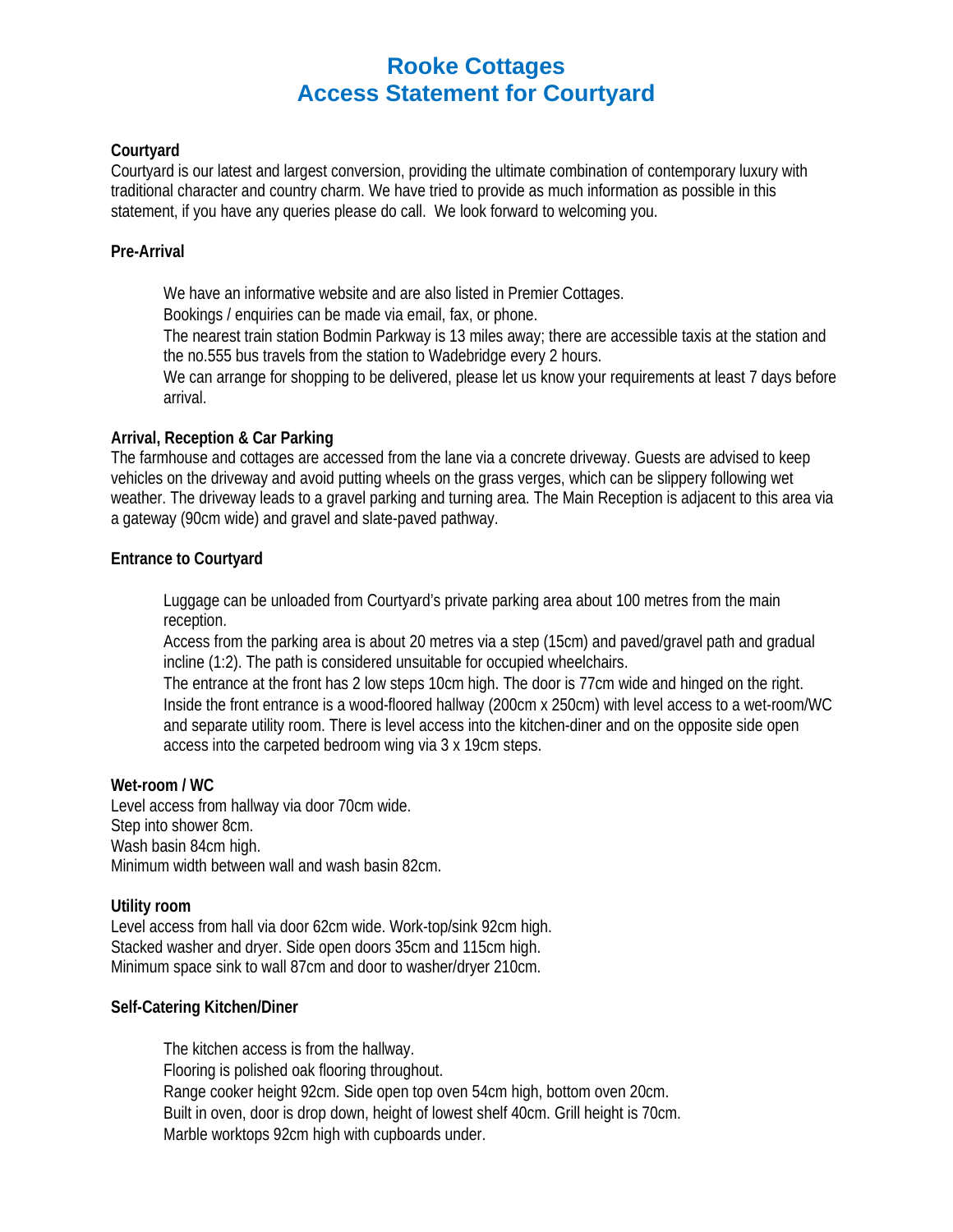# **Rooke Cottages Access Statement for Courtyard**

# **Courtyard**

Courtyard is our latest and largest conversion, providing the ultimate combination of contemporary luxury with traditional character and country charm. We have tried to provide as much information as possible in this statement, if you have any queries please do call. We look forward to welcoming you.

# **Pre-Arrival**

We have an informative website and are also listed in Premier Cottages.

Bookings / enquiries can be made via email, fax, or phone.

The nearest train station Bodmin Parkway is 13 miles away; there are accessible taxis at the station and the no.555 bus travels from the station to Wadebridge every 2 hours.

We can arrange for shopping to be delivered, please let us know your requirements at least 7 days before arrival.

# **Arrival, Reception & Car Parking**

The farmhouse and cottages are accessed from the lane via a concrete driveway. Guests are advised to keep vehicles on the driveway and avoid putting wheels on the grass verges, which can be slippery following wet weather. The driveway leads to a gravel parking and turning area. The Main Reception is adjacent to this area via a gateway (90cm wide) and gravel and slate-paved pathway.

# **Entrance to Courtyard**

Luggage can be unloaded from Courtyard's private parking area about 100 metres from the main reception.

Access from the parking area is about 20 metres via a step (15cm) and paved/gravel path and gradual incline (1:2). The path is considered unsuitable for occupied wheelchairs.

The entrance at the front has 2 low steps 10cm high. The door is 77cm wide and hinged on the right. Inside the front entrance is a wood-floored hallway (200cm x 250cm) with level access to a wet-room/WC and separate utility room. There is level access into the kitchen-diner and on the opposite side open access into the carpeted bedroom wing via 3 x 19cm steps.

# **Wet-room / WC**

Level access from hallway via door 70cm wide. Step into shower 8cm. Wash basin 84cm high. Minimum width between wall and wash basin 82cm.

# **Utility room**

Level access from hall via door 62cm wide. Work-top/sink 92cm high. Stacked washer and dryer. Side open doors 35cm and 115cm high. Minimum space sink to wall 87cm and door to washer/dryer 210cm.

# **Self-Catering Kitchen/Diner**

The kitchen access is from the hallway. Flooring is polished oak flooring throughout. Range cooker height 92cm. Side open top oven 54cm high, bottom oven 20cm. Built in oven, door is drop down, height of lowest shelf 40cm. Grill height is 70cm. Marble worktops 92cm high with cupboards under.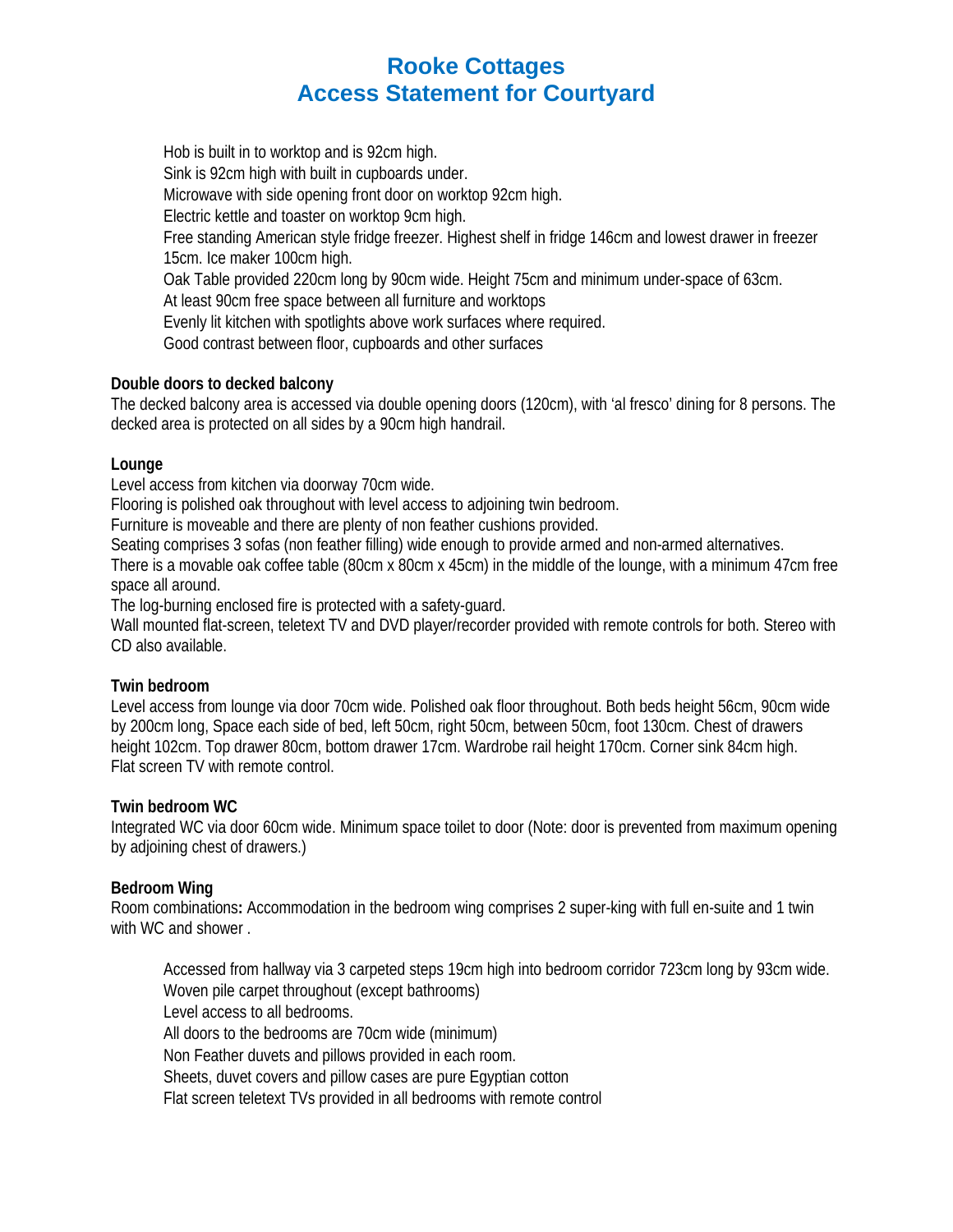# **Rooke Cottages Access Statement for Courtyard**

Hob is built in to worktop and is 92cm high. Sink is 92cm high with built in cupboards under. Microwave with side opening front door on worktop 92cm high. Electric kettle and toaster on worktop 9cm high. Free standing American style fridge freezer. Highest shelf in fridge 146cm and lowest drawer in freezer 15cm. Ice maker 100cm high. Oak Table provided 220cm long by 90cm wide. Height 75cm and minimum under-space of 63cm. At least 90cm free space between all furniture and worktops Evenly lit kitchen with spotlights above work surfaces where required. Good contrast between floor, cupboards and other surfaces

# **Double doors to decked balcony**

The decked balcony area is accessed via double opening doors (120cm), with 'al fresco' dining for 8 persons. The decked area is protected on all sides by a 90cm high handrail.

# **Lounge**

Level access from kitchen via doorway 70cm wide.

Flooring is polished oak throughout with level access to adjoining twin bedroom.

Furniture is moveable and there are plenty of non feather cushions provided.

Seating comprises 3 sofas (non feather filling) wide enough to provide armed and non-armed alternatives.

There is a movable oak coffee table (80cm x 80cm x 45cm) in the middle of the lounge, with a minimum 47cm free space all around.

The log-burning enclosed fire is protected with a safety-guard.

Wall mounted flat-screen, teletext TV and DVD player/recorder provided with remote controls for both. Stereo with CD also available.

# **Twin bedroom**

Level access from lounge via door 70cm wide. Polished oak floor throughout. Both beds height 56cm, 90cm wide by 200cm long, Space each side of bed, left 50cm, right 50cm, between 50cm, foot 130cm. Chest of drawers height 102cm. Top drawer 80cm, bottom drawer 17cm. Wardrobe rail height 170cm. Corner sink 84cm high. Flat screen TV with remote control.

# **Twin bedroom WC**

Integrated WC via door 60cm wide. Minimum space toilet to door (Note: door is prevented from maximum opening by adjoining chest of drawers.)

# **Bedroom Wing**

Room combinations**:** Accommodation in the bedroom wing comprises 2 super-king with full en-suite and 1 twin with WC and shower .

Accessed from hallway via 3 carpeted steps 19cm high into bedroom corridor 723cm long by 93cm wide. Woven pile carpet throughout (except bathrooms) Level access to all bedrooms. All doors to the bedrooms are 70cm wide (minimum) Non Feather duvets and pillows provided in each room. Sheets, duvet covers and pillow cases are pure Egyptian cotton Flat screen teletext TVs provided in all bedrooms with remote control